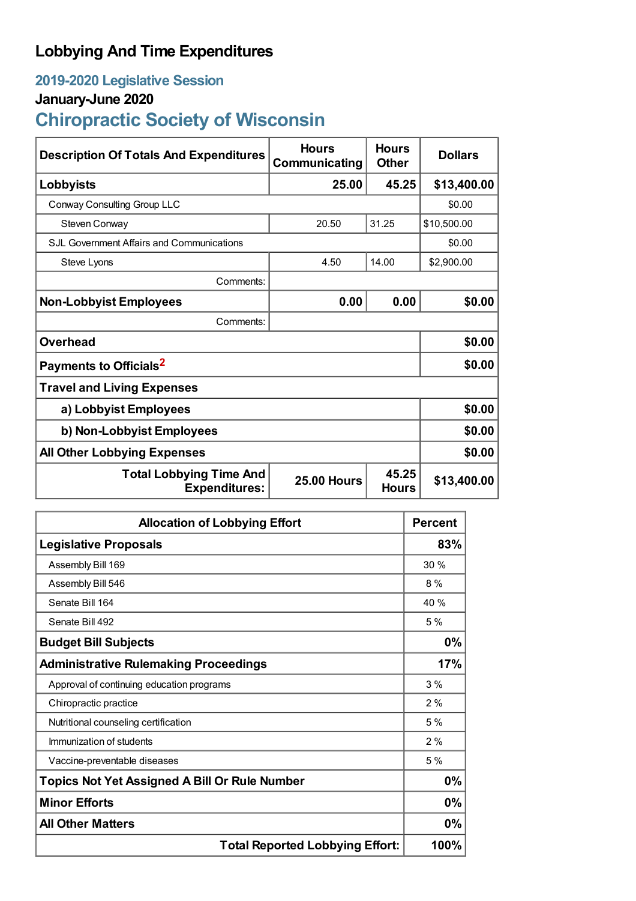## **Lobbying And Time Expenditures**

## **2019-2020 Legislative Session**

## **January-June 2020**

# **Chiropractic Society of Wisconsin**

| <b>Description Of Totals And Expenditures</b>          | <b>Hours</b><br>Communicating | <b>Hours</b><br><b>Other</b> | <b>Dollars</b> |
|--------------------------------------------------------|-------------------------------|------------------------------|----------------|
| Lobbyists                                              | 25.00                         | 45.25                        | \$13,400.00    |
| Conway Consulting Group LLC                            |                               |                              | \$0.00         |
| Steven Conway                                          | 20.50                         | 31.25                        | \$10,500.00    |
| S.JL Government Affairs and Communications             |                               |                              | \$0.00         |
| Steve Lyons                                            | 4.50                          | 14.00                        | \$2,900.00     |
| Comments:                                              |                               |                              |                |
| <b>Non-Lobbyist Employees</b>                          | 0.00                          | 0.00                         | \$0.00         |
| Comments:                                              |                               |                              |                |
| <b>Overhead</b>                                        |                               |                              | \$0.00         |
| Payments to Officials <sup>2</sup>                     |                               |                              | \$0.00         |
| <b>Travel and Living Expenses</b>                      |                               |                              |                |
| a) Lobbyist Employees                                  |                               |                              | \$0.00         |
| b) Non-Lobbyist Employees                              | \$0.00                        |                              |                |
| <b>All Other Lobbying Expenses</b>                     |                               |                              | \$0.00         |
| <b>Total Lobbying Time And</b><br><b>Expenditures:</b> | <b>25.00 Hours</b>            | 45.25<br><b>Hours</b>        | \$13,400.00    |

| <b>Allocation of Lobbying Effort</b>                 |       |
|------------------------------------------------------|-------|
| <b>Legislative Proposals</b>                         | 83%   |
| Assembly Bill 169                                    | 30%   |
| Assembly Bill 546                                    | 8%    |
| Senate Bill 164                                      | 40 %  |
| Senate Bill 492                                      | 5%    |
| <b>Budget Bill Subjects</b>                          | $0\%$ |
| <b>Administrative Rulemaking Proceedings</b>         | 17%   |
| Approval of continuing education programs            | 3%    |
| Chiropractic practice                                | 2%    |
| Nutritional counseling certification                 | 5%    |
| Immunization of students                             | 2%    |
| Vaccine-preventable diseases                         | 5%    |
| <b>Topics Not Yet Assigned A Bill Or Rule Number</b> | 0%    |
| <b>Minor Efforts</b>                                 | 0%    |
| <b>All Other Matters</b>                             | 0%    |
| <b>Total Reported Lobbying Effort:</b>               |       |